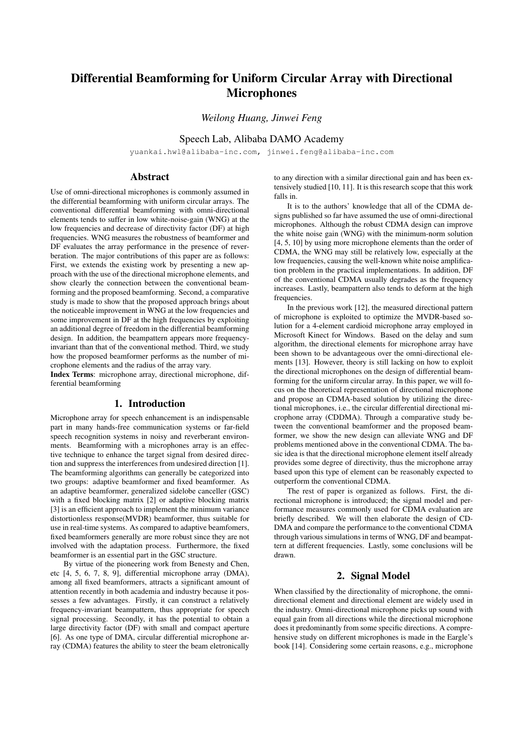# Differential Beamforming for Uniform Circular Array with Directional **Microphones**

*Weilong Huang, Jinwei Feng*

Speech Lab, Alibaba DAMO Academy

yuankai.hwl@alibaba-inc.com, jinwei.feng@alibaba-inc.com

# Abstract

Use of omni-directional microphones is commonly assumed in the differential beamforming with uniform circular arrays. The conventional differential beamforming with omni-directional elements tends to suffer in low white-noise-gain (WNG) at the low frequencies and decrease of directivity factor (DF) at high frequencies. WNG measures the robustness of beamformer and DF evaluates the array performance in the presence of reverberation. The major contributions of this paper are as follows: First, we extends the existing work by presenting a new approach with the use of the directional microphone elements, and show clearly the connection between the conventional beamforming and the proposed beamforming. Second, a comparative study is made to show that the proposed approach brings about the noticeable improvement in WNG at the low frequencies and some improvement in DF at the high frequencies by exploiting an additional degree of freedom in the differential beamforming design. In addition, the beampattern appears more frequencyinvariant than that of the conventional method. Third, we study how the proposed beamformer performs as the number of microphone elements and the radius of the array vary.

Index Terms: microphone array, directional microphone, differential beamforming

#### 1. Introduction

Microphone array for speech enhancement is an indispensable part in many hands-free communication systems or far-field speech recognition systems in noisy and reverberant environments. Beamforming with a microphones array is an effective technique to enhance the target signal from desired direction and suppress the interferences from undesired direction [1]. The beamforming algorithms can generally be categorized into two groups: adaptive beamformer and fixed beamformer. As an adaptive beamformer, generalized sidelobe canceller (GSC) with a fixed blocking matrix [2] or adaptive blocking matrix [3] is an efficient approach to implement the minimum variance distortionless response(MVDR) beamformer, thus suitable for use in real-time systems. As compared to adaptive beamfomers, fixed beamformers generally are more robust since they are not involved with the adaptation process. Furthermore, the fixed beamformer is an essential part in the GSC structure.

By virtue of the pioneering work from Benesty and Chen, etc [4, 5, 6, 7, 8, 9], differential microphone array (DMA), among all fixed beamformers, attracts a significant amount of attention recently in both academia and industry because it possesses a few advantages. Firstly, it can construct a relatively frequency-invariant beampattern, thus appropriate for speech signal processing. Secondly, it has the potential to obtain a large directivity factor (DF) with small and compact aperture [6]. As one type of DMA, circular differential microphone array (CDMA) features the ability to steer the beam eletronically to any direction with a similar directional gain and has been extensively studied [10, 11]. It is this research scope that this work falls in.

It is to the authors' knowledge that all of the CDMA designs published so far have assumed the use of omni-directional microphones. Although the robust CDMA design can improve the white noise gain (WNG) with the minimum-norm solution [4, 5, 10] by using more microphone elements than the order of CDMA, the WNG may still be relatively low, especially at the low frequencies, causing the well-known white noise amplification problem in the practical implementations. In addition, DF of the conventional CDMA usually degrades as the frequency increases. Lastly, beampattern also tends to deform at the high frequencies.

In the previous work [12], the measured directional pattern of microphone is exploited to optimize the MVDR-based solution for a 4-element cardioid microphone array employed in Microsoft Kinect for Windows. Based on the delay and sum algorithm, the directional elements for microphone array have been shown to be advantageous over the omni-directional elements [13]. However, theory is still lacking on how to exploit the directional microphones on the design of differential beamforming for the uniform circular array. In this paper, we will focus on the theoretical representation of directional microphone and propose an CDMA-based solution by utilizing the directional microphones, i.e., the circular differential directional microphone array (CDDMA). Through a comparative study between the conventional beamformer and the proposed beamformer, we show the new design can alleviate WNG and DF problems mentioned above in the conventional CDMA. The basic idea is that the directional microphone element itself already provides some degree of directivity, thus the microphone array based upon this type of element can be reasonably expected to outperform the conventional CDMA.

The rest of paper is organized as follows. First, the directional microphone is introduced; the signal model and performance measures commonly used for CDMA evaluation are briefly described. We will then elaborate the design of CD-DMA and compare the performance to the conventional CDMA through various simulations in terms of WNG, DF and beampattern at different frequencies. Lastly, some conclusions will be drawn.

# 2. Signal Model

When classified by the directionality of microphone, the omnidirectional element and directional element are widely used in the industry. Omni-directional microphone picks up sound with equal gain from all directions while the directional microphone does it predominantly from some specific directions. A comprehensive study on different microphones is made in the Eargle's book [14]. Considering some certain reasons, e.g., microphone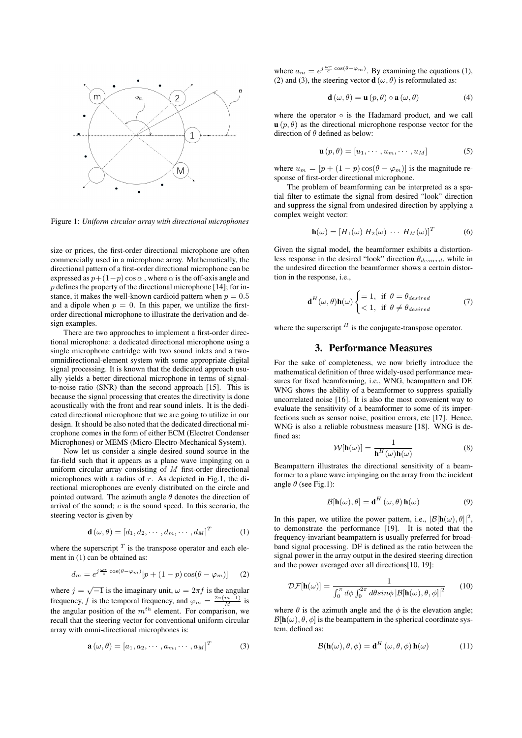

Figure 1: *Uniform circular array with directional microphones*

size or prices, the first-order directional microphone are often commercially used in a microphone array. Mathematically, the directional pattern of a first-order directional microphone can be expressed as  $p+(1-p)\cos\alpha$ , where  $\alpha$  is the off-axis angle and  $p$  defines the property of the directional microphone [14]; for instance, it makes the well-known cardioid pattern when  $p = 0.5$ and a dipole when  $p = 0$ . In this paper, we untilize the firstorder directional microphone to illustrate the derivation and design examples.

There are two approaches to implement a first-order directional microphone: a dedicated directional microphone using a single microphone cartridge with two sound inlets and a twoomnidirectional-element system with some appropriate digital signal processing. It is known that the dedicated approach usually yields a better directional microphone in terms of signalto-noise ratio (SNR) than the second approach [15]. This is because the signal processing that creates the directivity is done acoustically with the front and rear sound inlets. It is the dedicated directional microphone that we are going to utilize in our design. It should be also noted that the dedicated directional microphone comes in the form of either ECM (Electret Condenser Microphones) or MEMS (Micro-Electro-Mechanical System).

Now let us consider a single desired sound source in the far-field such that it appears as a plane wave impinging on a uniform circular array consisting of  $M$  first-order directional microphones with a radius of  $r$ . As depicted in Fig.1, the directional microphones are evenly distributed on the circle and pointed outward. The azimuth angle  $\theta$  denotes the direction of arrival of the sound;  $c$  is the sound speed. In this scenario, the steering vector is given by

$$
\mathbf{d}(\omega,\theta) = [d_1, d_2, \cdots, d_m, \cdots, d_M]^T
$$
 (1)

where the superscript  $<sup>T</sup>$  is the transpose operator and each ele-</sup> ment in (1) can be obtained as:

$$
d_m = e^{j\frac{\omega r}{c}\cos(\theta - \varphi_m)}[p + (1 - p)\cos(\theta - \varphi_m)] \tag{2}
$$

where  $j = \sqrt{-1}$  is the imaginary unit,  $\omega = 2\pi f$  is the angular frequency, f is the temporal frequency, and  $\varphi_m = \frac{2\pi(m-1)}{M}$  is the angular position of the  $m^{th}$  element. For comparison, we recall that the steering vector for conventional uniform circular array with omni-directional microphones is:

$$
\mathbf{a}(\omega,\theta) = [a_1, a_2, \cdots, a_m, \cdots, a_M]^T
$$
 (3)

where  $a_m = e^{j\frac{\omega r}{c} \cos(\theta - \varphi_m)}$ . By examining the equations (1), (2) and (3), the steering vector  $\mathbf{d}(\omega, \theta)$  is reformulated as:

$$
\mathbf{d}\left(\omega,\theta\right) = \mathbf{u}\left(p,\theta\right) \circ \mathbf{a}\left(\omega,\theta\right) \tag{4}
$$

where the operator  $\circ$  is the Hadamard product, and we call  $\mathbf{u}(p, \theta)$  as the directional microphone response vector for the direction of  $\theta$  defined as below:

$$
\mathbf{u}(p,\theta) = [u_1, \cdots, u_m, \cdots, u_M]
$$
 (5)

where  $u_m = [p + (1 - p) \cos(\theta - \varphi_m)]$  is the magnitude response of first-order directional microphone.

The problem of beamforming can be interpreted as a spatial filter to estimate the signal from desired "look" direction and suppress the signal from undesired direction by applying a complex weight vector:

$$
\mathbf{h}(\omega) = [H_1(\omega) H_2(\omega) \cdots H_M(\omega)]^T
$$
 (6)

Given the signal model, the beamformer exhibits a distortionless response in the desired "look" direction  $\theta_{desired}$ , while in the undesired direction the beamformer shows a certain distortion in the response, i.e.,

$$
\mathbf{d}^{H}(\omega,\theta)\mathbf{h}(\omega)\begin{cases}=1, & \text{if } \theta=\theta_{desired} \\ <1, & \text{if } \theta \neq \theta_{desired}\end{cases}
$$
(7)

where the superscript  $<sup>H</sup>$  is the conjugate-transpose operator.</sup>

#### 3. Performance Measures

For the sake of completeness, we now briefly introduce the mathematical definition of three widely-used performance measures for fixed beamforming, i.e., WNG, beampattern and DF. WNG shows the ability of a beamformer to suppress spatially uncorrelated noise [16]. It is also the most convenient way to evaluate the sensitivity of a beamformer to some of its imperfections such as sensor noise, position errors, etc [17]. Hence, WNG is also a reliable robustness measure [18]. WNG is defined as:

$$
\mathcal{W}[\mathbf{h}(\omega)] = \frac{1}{\mathbf{h}^H(\omega)\mathbf{h}(\omega)}
$$
(8)

Beampattern illustrates the directional sensitivity of a beamformer to a plane wave impinging on the array from the incident angle  $\theta$  (see Fig.1):

$$
\mathcal{B}[\mathbf{h}(\omega), \theta] = \mathbf{d}^H(\omega, \theta) \mathbf{h}(\omega)
$$
 (9)

In this paper, we utilize the power pattern, i.e.,  $|\mathcal{B}[\mathbf{h}(\omega), \theta]|^2$ , to demonstrate the performance [19]. It is noted that the frequency-invariant beampattern is usually preferred for broadband signal processing. DF is defined as the ratio between the signal power in the array output in the desired steering direction and the power averaged over all directions[10, 19]:

$$
\mathcal{DF}[\mathbf{h}(\omega)] = \frac{1}{\int_0^{\pi} d\phi \int_0^{2\pi} d\theta \sin\phi \, |\mathcal{B}[\mathbf{h}(\omega), \theta, \phi]|^2} \qquad (10)
$$

where  $\theta$  is the azimuth angle and the  $\phi$  is the elevation angle;  $\mathcal{B}[\mathbf{h}(\omega), \theta, \phi]$  is the beampattern in the spherical coordinate system, defined as:

$$
\mathcal{B}(\mathbf{h}(\omega), \theta, \phi) = \mathbf{d}^H(\omega, \theta, \phi) \mathbf{h}(\omega)
$$
 (11)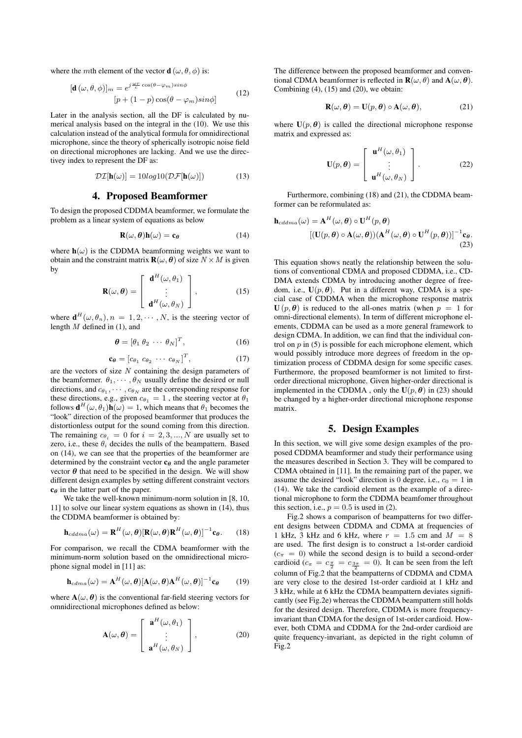where the *mth* element of the vector **d**  $(\omega, \theta, \phi)$  is:

$$
[\mathbf{d}(\omega,\theta,\phi)]_m = e^{j\frac{\omega r}{c}\cos(\theta-\varphi_m)\sin\phi}
$$
  
[ $p + (1-p)\cos(\theta-\varphi_m)\sin\phi$ ] (12)

Later in the analysis section, all the DF is calculated by numerical analysis based on the integral in the (10). We use this calculation instead of the analytical formula for omnidirectional microphone, since the theory of spherically isotropic noise field on directional microphones are lacking. And we use the directivey index to represent the DF as:

$$
\mathcal{DI}[\mathbf{h}(\omega)] = 10\log 10(\mathcal{DF}[\mathbf{h}(\omega)]) \tag{13}
$$

# 4. Proposed Beamformer

To design the proposed CDDMA beamformer, we formulate the problem as a linear system of equations as below

$$
\mathbf{R}(\omega,\boldsymbol{\theta})\mathbf{h}(\omega) = \mathbf{c}_{\boldsymbol{\theta}} \tag{14}
$$

where  $h(\omega)$  is the CDDMA beamforming weights we want to obtain and the constraint matrix  $\mathbf{R}(\omega, \theta)$  of size  $N \times M$  is given by

$$
\mathbf{R}(\omega,\boldsymbol{\theta}) = \begin{bmatrix} \mathbf{d}^H(\omega,\theta_1) \\ \vdots \\ \mathbf{d}^H(\omega,\theta_N) \end{bmatrix},
$$
(15)

where  $\mathbf{d}^{H}(\omega,\theta_{n}), n = 1, 2, \cdots, N$ , is the steering vector of length  $M$  defined in (1), and

$$
\boldsymbol{\theta} = [\theta_1 \ \theta_2 \ \cdots \ \theta_N]^T, \tag{16}
$$

$$
\mathbf{c}_{\theta} = [c_{\theta_1} \ c_{\theta_2} \ \cdots \ c_{\theta_N}]^T, \tag{17}
$$

are the vectors of size  $N$  containing the design parameters of the beamformer.  $\theta_1, \dots, \theta_N$  usually define the desired or null directions, and  $c_{\theta_1}, \cdots, c_{\theta_N}$  are the corresponding response for these directions, e.g., given  $c_{\theta_1} = 1$ , the steering vector at  $\theta_1$ follows  $\mathbf{d}^{H}(\omega,\theta_1)\mathbf{h}(\omega) = 1$ , which means that  $\theta_1$  becomes the "look" direction of the proposed beamformer that produces the distortionless output for the sound coming from this direction. The remaining  $c_{\theta_i} = 0$  for  $i = 2, 3, ..., N$  are usually set to zero, i.e., these  $\theta_i$  decides the nulls of the beampattern. Based on (14), we can see that the properties of the beamformer are determined by the constraint vector  $c_{\theta}$  and the angle parameter vector  $\theta$  that need to be specified in the design. We will show different design examples by setting different constraint vectors  $c_{\theta}$  in the latter part of the paper.

We take the well-known minimum-norm solution in [8, 10, 11] to solve our linear system equations as shown in (14), thus the CDDMA beamformer is obtained by:

$$
\mathbf{h}_{cddma}(\omega) = \mathbf{R}^{H}(\omega, \boldsymbol{\theta}) [\mathbf{R}(\omega, \boldsymbol{\theta}) \mathbf{R}^{H}(\omega, \boldsymbol{\theta})]^{-1} \mathbf{c}_{\boldsymbol{\theta}}.
$$
 (18)

For comparison, we recall the CDMA beamformer with the minimum-norm solution based on the omnidirectional microphone signal model in [11] as:

$$
\mathbf{h}_{cdma}(\omega) = \mathbf{A}^{H}(\omega, \boldsymbol{\theta}) [\mathbf{A}(\omega, \boldsymbol{\theta}) \mathbf{A}^{H}(\omega, \boldsymbol{\theta})]^{-1} \mathbf{c}_{\boldsymbol{\theta}} \qquad (19)
$$

where  $A(\omega, \theta)$  is the conventional far-field steering vectors for omnidirectional microphones defined as below:

$$
\mathbf{A}(\omega,\boldsymbol{\theta}) = \begin{bmatrix} \mathbf{a}^H(\omega,\theta_1) \\ \vdots \\ \mathbf{a}^H(\omega,\theta_N) \end{bmatrix},
$$
(20)

The difference between the proposed beamformer and conventional CDMA beamformer is reflected in  $\mathbf{R}(\omega,\theta)$  and  $\mathbf{A}(\omega,\theta)$ . Combining  $(4)$ ,  $(15)$  and  $(20)$ , we obtain:

$$
\mathbf{R}(\omega,\boldsymbol{\theta}) = \mathbf{U}(p,\boldsymbol{\theta}) \circ \mathbf{A}(\omega,\boldsymbol{\theta}), \qquad (21)
$$

where  $U(p, \theta)$  is called the directional microphone response matrix and expressed as:

$$
\mathbf{U}(p,\boldsymbol{\theta}) = \begin{bmatrix} \mathbf{u}^H(\omega,\theta_1) \\ \vdots \\ \mathbf{u}^H(\omega,\theta_N) \end{bmatrix} .
$$
 (22)

Furthermore, combining (18) and (21), the CDDMA beamformer can be reformulated as:

$$
\mathbf{h}_{cdama}(\omega) = \mathbf{A}^{H}(\omega, \boldsymbol{\theta}) \circ \mathbf{U}^{H}(p, \boldsymbol{\theta})
$$

$$
[(\mathbf{U}(p, \boldsymbol{\theta}) \circ \mathbf{A}(\omega, \boldsymbol{\theta}))(\mathbf{A}^{H}(\omega, \boldsymbol{\theta}) \circ \mathbf{U}^{H}(p, \boldsymbol{\theta}))]^{-1} \mathbf{c}_{\boldsymbol{\theta}}.
$$
(23)

This equation shows neatly the relationship between the solutions of conventional CDMA and proposed CDDMA, i.e., CD-DMA extends CDMA by introducing another degree of freedom, i.e.,  $U(p, \theta)$ . Put in a different way, CDMA is a special case of CDDMA when the microphone response matrix  $U(p, \theta)$  is reduced to the all-ones matrix (when  $p = 1$  for omni-directional elements). In term of different microphone elements, CDDMA can be used as a more general framework to design CDMA. In addition, we can find that the individual control on  $p$  in (5) is possible for each microphone element, which would possibly introduce more degrees of freedom in the optimization process of CDDMA design for some specific cases. Furthermore, the proposed beamformer is not limited to firstorder directional microphone. Given higher-order directional is implemented in the CDDMA, only the  $U(p, \theta)$  in (23) should be changed by a higher-order directional microphone response matrix.

# 5. Design Examples

In this section, we will give some design examples of the proposed CDDMA beamformer and study their performance using the measures described in Section 3. They will be compared to CDMA obtained in [11]. In the remaining part of the paper, we assume the desired "look" direction is 0 degree, i.e.,  $c_0 = 1$  in (14). We take the cardioid element as the example of a directional microphone to form the CDDMA beamfomer throughout this section, i.e.,  $p = 0.5$  is used in (2).

Fig.2 shows a comparison of beampatterns for two different designs between CDDMA and CDMA at frequencies of 1 kHz, 3 kHz and 6 kHz, where  $r = 1.5$  cm and  $M = 8$ are used. The first design is to construct a 1st-order cardioid  $(c_{\pi} = 0)$  while the second design is to build a second-order cardioid ( $c_{\pi} = c_{\frac{\pi}{2}} = c_{\frac{3\pi}{2}} = 0$ ). It can be seen from the left 2 column of Fig.2 that the beampatterns of CDDMA and CDMA are very close to the desired 1st-order cardioid at 1 kHz and 3 kHz, while at 6 kHz the CDMA beampattern deviates significantly (see Fig.2e) whereas the CDDMA beampattern still holds for the desired design. Therefore, CDDMA is more frequencyinvariant than CDMA for the design of 1st-order cardioid. However, both CDMA and CDDMA for the 2nd-order cardioid are quite frequency-invariant, as depicted in the right column of Fig.2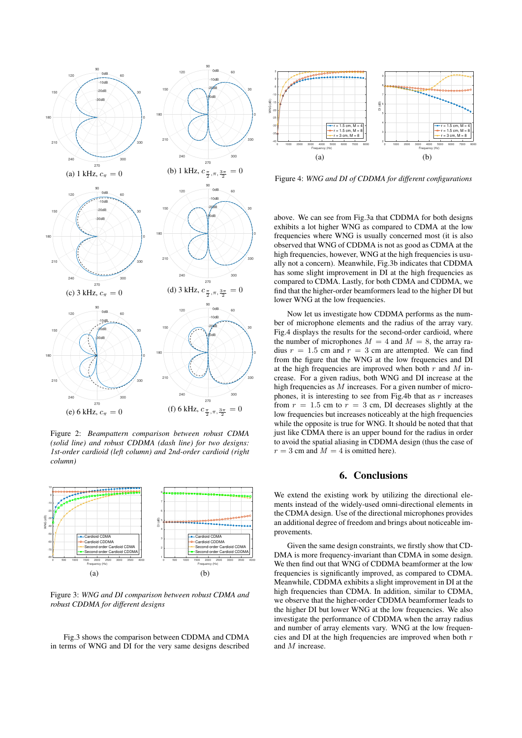

Figure 2: *Beampattern comparison between robust CDMA (solid line) and robust CDDMA (dash line) for two designs: 1st-order cardioid (left column) and 2nd-order cardioid (right column)*



Figure 3: *WNG and DI comparison between robust CDMA and robust CDDMA for different designs*

Fig.3 shows the comparison between CDDMA and CDMA in terms of WNG and DI for the very same designs described



Figure 4: *WNG and DI of CDDMA for different configurations*

above. We can see from Fig.3a that CDDMA for both designs exhibits a lot higher WNG as compared to CDMA at the low frequencies where WNG is usually concerned most (it is also observed that WNG of CDDMA is not as good as CDMA at the high frequencies, however, WNG at the high frequencies is usually not a concern). Meanwhile, Fig.3b indicates that CDDMA has some slight improvement in DI at the high frequencies as compared to CDMA. Lastly, for both CDMA and CDDMA, we find that the higher-order beamformers lead to the higher DI but lower WNG at the low frequencies.

Now let us investigate how CDDMA performs as the number of microphone elements and the radius of the array vary. Fig.4 displays the results for the second-order cardioid, where the number of microphones  $M = 4$  and  $M = 8$ , the array radius  $r = 1.5$  cm and  $r = 3$  cm are attempted. We can find from the figure that the WNG at the low frequencies and DI at the high frequencies are improved when both  $r$  and  $M$  increase. For a given radius, both WNG and DI increase at the high frequencies as  $M$  increases. For a given number of microphones, it is interesting to see from Fig.4b that as  $r$  increases from  $r = 1.5$  cm to  $r = 3$  cm, DI decreases slightly at the low frequencies but increases noticeably at the high frequencies while the opposite is true for WNG. It should be noted that that just like CDMA there is an upper bound for the radius in order to avoid the spatial aliasing in CDDMA design (thus the case of  $r = 3$  cm and  $M = 4$  is omitted here).

# 6. Conclusions

We extend the existing work by utilizing the directional elements instead of the widely-used omni-directional elements in the CDMA design. Use of the directional microphones provides an additional degree of freedom and brings about noticeable improvements.

Given the same design constraints, we firstly show that CD-DMA is more frequency-invariant than CDMA in some design. We then find out that WNG of CDDMA beamformer at the low frequencies is significantly improved, as compared to CDMA. Meanwhile, CDDMA exhibits a slight improvement in DI at the high frequencies than CDMA. In addition, similar to CDMA, we observe that the higher-order CDDMA beamformer leads to the higher DI but lower WNG at the low frequencies. We also investigate the performance of CDDMA when the array radius and number of array elements vary. WNG at the low frequencies and DI at the high frequencies are improved when both  $r$ and M increase.